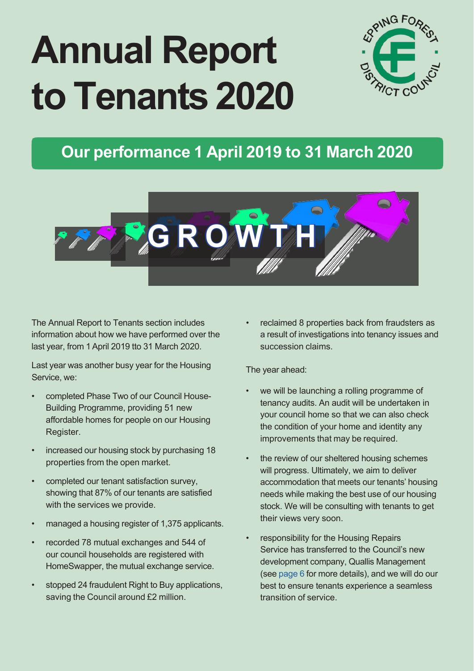# **Annual Report to Tenants 2020**



### **Our performance 1 April 2019 to 31 March 2020**



The Annual Report to Tenants section includes information about how we have performed over the last year, from 1April 2019 tto 31 March 2020.

Last year was another busy year for the Housing Service, we:

- completed Phase Two of our Council House-Building Programme, providing 51 new affordable homes for people on our Housing Register.
- increased our housing stock by purchasing 18 properties from the open market.
- completed our tenant satisfaction survey, showing that 87% of our tenants are satisfied with the services we provide.
- managed a housing register of 1,375 applicants.
- recorded 78 mutual exchanges and 544 of our council households are registered with HomeSwapper, the mutual exchange service.
- stopped 24 fraudulent Right to Buy applications, saving the Council around £2 million.

reclaimed 8 properties back from fraudsters as a result of investigations into tenancy issues and succession claims.

#### The year ahead:

- we will be launching a rolling programme of tenancy audits. An audit will be undertaken in your council home so that we can also check the condition of your home and identity any improvements that may be required.
- the review of our sheltered housing schemes will progress. Ultimately, we aim to deliver accommodation that meets our tenants' housing needs while making the best use of our housing stock. We will be consulting with tenants to get their views very soon.
- responsibility for the Housing Repairs Service has transferred to the Council's new development company, Quallis Management (see page 6 for more details), and we will do our best to ensure tenants experience a seamless transition of service.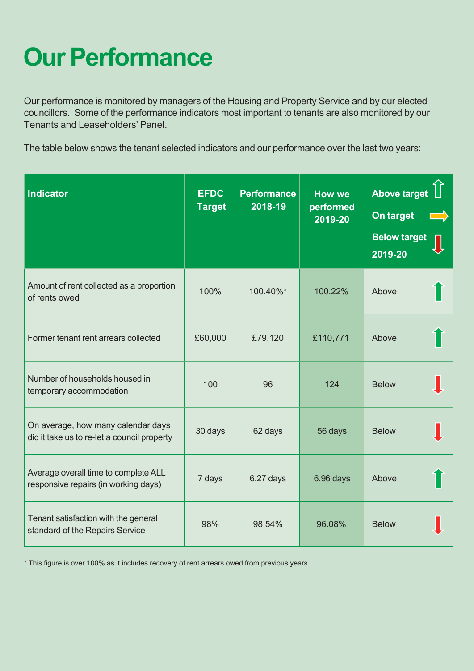# **Our Performance**

Our performance is monitored by managers of the Housing and Property Service and by our elected councillors. Some of the performance indicators most important to tenants are also monitored by our Tenants and Leaseholders' Panel.

The table below shows the tenant selected indicators and our performance over the last two years:

| <b>Indicator</b>                                                                  | <b>EFDC</b><br><b>Target</b> | <b>Performance</b><br>2018-19 | <b>How we</b><br>performed<br>2019-20 | <b>Above target</b><br>On target<br><b>Below target</b><br>2019-20 |
|-----------------------------------------------------------------------------------|------------------------------|-------------------------------|---------------------------------------|--------------------------------------------------------------------|
| Amount of rent collected as a proportion<br>of rents owed                         | 100%                         | 100.40%*                      | 100.22%                               | Above                                                              |
| Former tenant rent arrears collected                                              | £60,000                      | £79,120                       | £110,771                              | Above                                                              |
| Number of households housed in<br>temporary accommodation                         | 100                          | 96                            | 124                                   | <b>Below</b>                                                       |
| On average, how many calendar days<br>did it take us to re-let a council property | 30 days                      | 62 days                       | 56 days                               | <b>Below</b>                                                       |
| Average overall time to complete ALL<br>responsive repairs (in working days)      | 7 days                       | 6.27 days                     | 6.96 days                             | Above                                                              |
| Tenant satisfaction with the general<br>standard of the Repairs Service           | 98%                          | 98.54%                        | 96.08%                                | <b>Below</b>                                                       |

\* This figure is over 100% as it includes recovery of rent arrears owed from previous years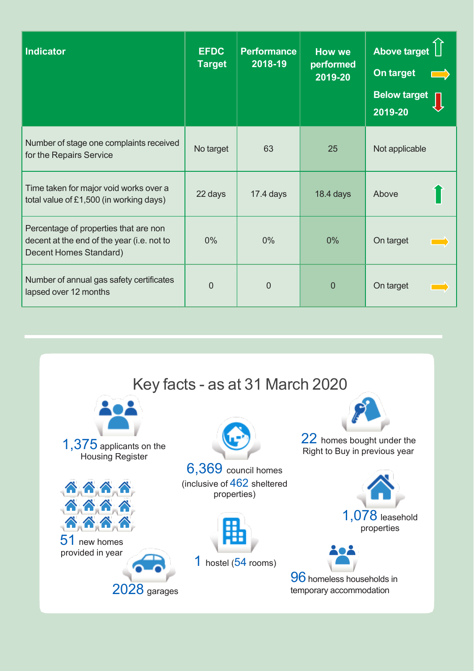| <b>Indicator</b>                                                                                              | <b>EFDC</b><br><b>Target</b> | <b>Performance</b><br>2018-19 | <b>How we</b><br>performed<br>2019-20 | Above target<br>On target<br>$\overline{\phantom{a}}$<br><b>Below target</b><br>2019-20 |
|---------------------------------------------------------------------------------------------------------------|------------------------------|-------------------------------|---------------------------------------|-----------------------------------------------------------------------------------------|
| Number of stage one complaints received<br>for the Repairs Service                                            | No target                    | 63                            | 25                                    | Not applicable                                                                          |
| Time taken for major void works over a<br>total value of £1,500 (in working days)                             | 22 days                      | $17.4$ days                   | $18.4$ days                           | Above                                                                                   |
| Percentage of properties that are non<br>decent at the end of the year (i.e. not to<br>Decent Homes Standard) | $0\%$                        | $0\%$                         | 0%                                    | On target                                                                               |
| Number of annual gas safety certificates<br>lapsed over 12 months                                             | $\Omega$                     | $\overline{0}$                | 0                                     | On target                                                                               |

Key facts - as at 31 March 2020 22 homes bought under the 1,375 applicants on the Right to Buy in previous year Housing Register 6,369 council homes (inclusive of 462 sheltered **AAAA** properties) <u> ጽጽጽ</u> 1,078 leasehold <u>ጽጽጽ</u> properties 51 new homes provided in year 1 hostel (54 rooms) **96** homeless households in 2028 garages temporary accommodation